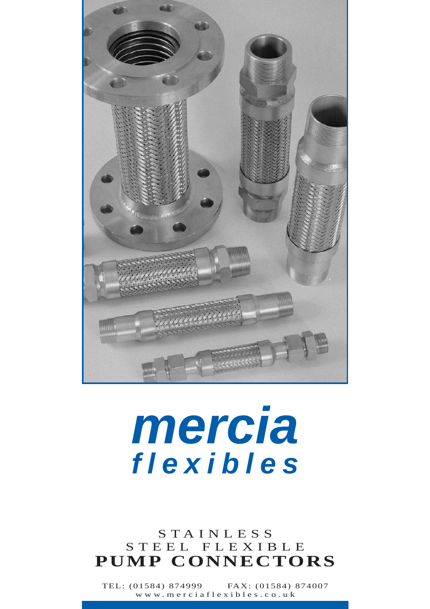

# **mercia flexibles**

#### STAINLESS STEEL FLEXIBLE **PUMP CONNECTORS**

TEL: (01584) 874999 FAX: (01584) 874007 www.merciaflexibles.co.uk